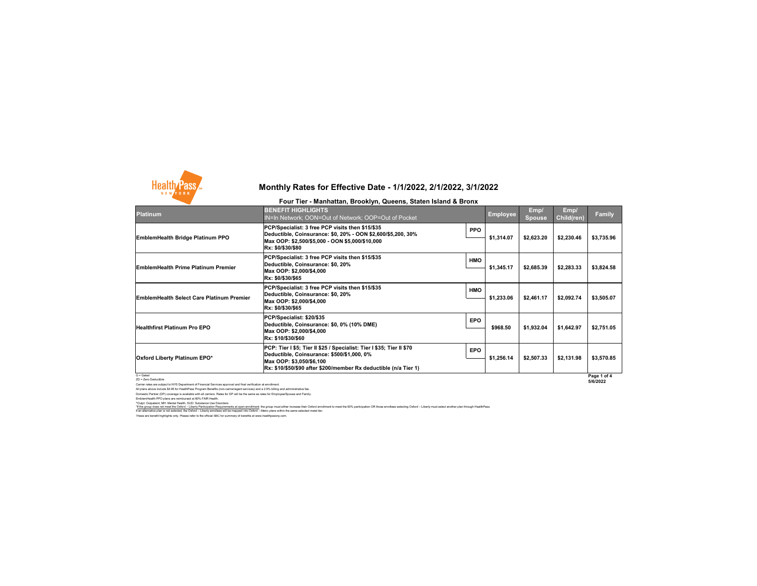These are benefit highlights only. Please refer to the official SBC for summary of benefits at www.healthpassny.com. If an alternative plan is not selected, the Oxford – Liberty enrollees will be mapped into Oxford – Metro plans within the same selected metal tier.

Carrier rates are subject to NYS Department of Financial Services approval and final verification at enrollment. All plans above include \$4.95 for HealthPass Program Benefits (non-carrier/agent services) and a 2.9% billing and administrative fee. Domestic Partner (DP) coverage is available with all carriers. Rates for DP will be the same as rates for Employee/Spouse and Family. EmblemHealth PPO plans are reimbursed at 80% FAIR Health.

^Outpt: Outpatient, MH: Mental Health, SUD: Substance Use Disorders



| <b>Platinum</b>                                  | <b>BENEFIT HIGHLIGHTS</b><br><b>IN=In Network; OON=Out of Network; OOP=Out of Pocket</b>                                                                                                                               |            | Employee   | Emp/<br><b>Spouse</b> | Emp/<br><b>Child(ren)</b> | <b>Family</b>           |
|--------------------------------------------------|------------------------------------------------------------------------------------------------------------------------------------------------------------------------------------------------------------------------|------------|------------|-----------------------|---------------------------|-------------------------|
| <b>EmblemHealth Bridge Platinum PPO</b>          | PCP/Specialist: 3 free PCP visits then \$15/\$35<br>Deductible, Coinsurance: \$0, 20% - OON \$2,600/\$5,200, 30%<br>Max OOP: \$2,500/\$5,000 - OON \$5,000/\$10,000<br> Rx: \$0/\$30/\$80                              | <b>PPO</b> | \$1,314.07 | \$2,623.20            | \$2,230.46                | \$3,735.96              |
| <b>EmblemHealth Prime Platinum Premier</b>       | PCP/Specialist: 3 free PCP visits then \$15/\$35<br>Deductible, Coinsurance: \$0, 20%<br>Max OOP: \$2,000/\$4,000<br>Rx: \$0/\$30/\$65                                                                                 | <b>HMO</b> | \$1,345.17 | \$2,685.39            | \$2,283.33                | \$3,824.58              |
| <b>EmblemHealth Select Care Platinum Premier</b> | PCP/Specialist: 3 free PCP visits then \$15/\$35<br>Deductible, Coinsurance: \$0, 20%<br>Max OOP: \$2,000/\$4,000<br>Rx: \$0/\$30/\$65                                                                                 | <b>HMO</b> | \$1,233.06 | \$2,461.17            | \$2,092.74                | \$3,505.07              |
| <b>Healthfirst Platinum Pro EPO</b>              | PCP/Specialist: \$20/\$35<br>Deductible, Coinsurance: \$0, 0% (10% DME)<br>Max OOP: \$2,000/\$4,000<br>Rx: \$10/\$30/\$60                                                                                              | <b>EPO</b> | \$968.50   | \$1,932.04            | \$1,642.97                | \$2,751.05              |
| <b>Oxford Liberty Platinum EPO*</b>              | PCP: Tier I \$5; Tier II \$25 / Specialist: Tier I \$35; Tier II \$70<br>Deductible, Coinsurance: \$500/\$1,000, 0%<br>Max OOP: \$3,050/\$6,100  <br> Rx: \$10/\$50/\$90 after \$200/member Rx deductible (n/a Tier 1) | <b>EPO</b> | \$1,256.14 | \$2,507.33            | \$2,131.98                | \$3,570.85              |
| $G =$ Gated<br>ZD = Zero Deductible              |                                                                                                                                                                                                                        |            |            |                       |                           | Page 1 of 4<br>5/6/2022 |

## **Monthly Rates for Effective Date - 1/1/2022, 2/1/2022, 3/1/2022**

#### **Four Tier - Manhattan, Brooklyn, Queens, Staten Island & Bronx**

\*If the group does not meet the Oxford – Liberty Participation Requirements at open enrollment: the group must either increase their Oxford enrollment to meet the 60% participation OR those enrollees selecting Oxford – Lib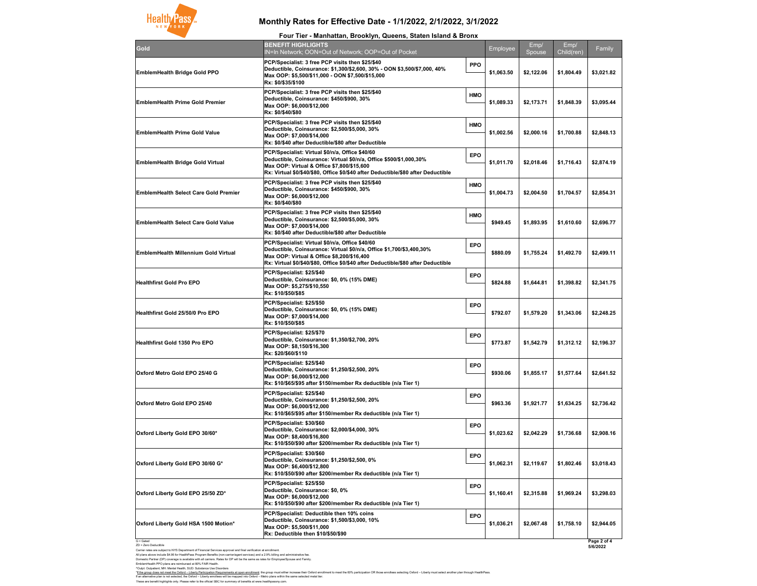G = Gated ZD = Zero Deductible

Carrier rates are subject to NYS Department of Financial Services approval and final verification at enrollment. All plans above include \$4.95 for HealthPass Program Benefits (non-carrier/agent services) and a 2.9% billing and administrative fee. Domestic Partner (DP) coverage is available with all carriers. Rates for DP will be the same as rates for Employee/Spouse and Family. EmblemHealth PPO plans are reimbursed at 80% FAIR Health.

^Outpt: Outpatient, MH: Mental Health, SUD: Substance Use Disorders



|                                              | Four Tier - Mani                                                                                                                             |
|----------------------------------------------|----------------------------------------------------------------------------------------------------------------------------------------------|
| Gold                                         | <b>BENEFIT HIGHLIGHTS</b><br><b>IN=In Network; OON=Ou</b>                                                                                    |
| <b>EmblemHealth Bridge Gold PPO</b>          | <b>PCP/Specialist: 3 free PC</b><br><b>Deductible, Coinsurance</b><br>Max OOP: \$5,500/\$11,000<br>Rx: \$0/\$35/\$100                        |
| <b>EmblemHealth Prime Gold Premier</b>       | <b>PCP/Specialist: 3 free PC</b><br><b>Deductible, Coinsurance</b><br>Max OOP: \$6,000/\$12,000<br>Rx: \$0/\$40/\$80                         |
| <b>EmblemHealth Prime Gold Value</b>         | <b>PCP/Specialist: 3 free PC</b><br><b>Deductible, Coinsurance</b><br>Max OOP: \$7,000/\$14,000<br>Rx: \$0/\$40 after Deductib               |
| <b>EmblemHealth Bridge Gold Virtual</b>      | <b>PCP/Specialist: Virtual \$0</b><br><b>Deductible, Coinsurance</b><br><b>Max OOP: Virtual &amp; Offic</b><br>Rx: Virtual \$0/\$40/\$80, Of |
| <b>EmblemHealth Select Care Gold Premier</b> | <b>PCP/Specialist: 3 free PC</b><br><b>Deductible, Coinsurance</b><br>Max OOP: \$6,000/\$12,000<br>Rx: \$0/\$40/\$80                         |
| <b>EmblemHealth Select Care Gold Value</b>   | <b>PCP/Specialist: 3 free PC</b><br><b>Deductible, Coinsurance</b><br>Max OOP: \$7,000/\$14,000<br>Rx: \$0/\$40 after Deductib               |
| <b>EmblemHealth Millennium Gold Virtual</b>  | <b>PCP/Specialist: Virtual \$0</b><br><b>Deductible, Coinsurance</b><br><b>Max OOP: Virtual &amp; Offic</b><br>Rx: Virtual \$0/\$40/\$80, Of |
| <b>Healthfirst Gold Pro EPO</b>              | PCP/Specialist: \$25/\$40<br><b>Deductible, Coinsurance</b><br>Max OOP: \$5,275/\$10,550<br>Rx: \$10/\$50/\$85                               |
| <b>Healthfirst Gold 25/50/0 Pro EPO</b>      | PCP/Specialist: \$25/\$50<br><b>Deductible, Coinsurance</b><br>Max OOP: \$7,000/\$14,000<br>Rx: \$10/\$50/\$85                               |
| <b>Healthfirst Gold 1350 Pro EPO</b>         | PCP/Specialist: \$25/\$70<br><b>Deductible, Coinsurance</b><br>Max OOP: \$8,150/\$16,300<br>Rx: \$20/\$60/\$110                              |
| Oxford Metro Gold EPO 25/40 G                | PCP/Specialist: \$25/\$40<br><b>Deductible, Coinsurance</b><br>Max OOP: \$6,000/\$12,000<br>Rx: \$10/\$65/\$95 after \$15                    |
| <b>Oxford Metro Gold EPO 25/40</b>           | PCP/Specialist: \$25/\$40<br><b>Deductible, Coinsurance</b><br>Max OOP: \$6,000/\$12,000<br>Rx: \$10/\$65/\$95 after \$15                    |
| Oxford Liberty Gold EPO 30/60*               | PCP/Specialist: \$30/\$60<br><b>Deductible, Coinsurance</b><br>Max OOP: \$8,400/\$16,800<br>Rx: \$10/\$50/\$90 after \$20                    |
| Oxford Liberty Gold EPO 30/60 G*             | PCP/Specialist: \$30/\$60<br><b>Deductible, Coinsurance</b><br>Max OOP: \$6,400/\$12,800<br>Rx: \$10/\$50/\$90 after \$20                    |
| Oxford Liberty Gold EPO 25/50 ZD*            | PCP/Specialist: \$25/\$50<br><b>Deductible, Coinsurance</b><br>Max OOP: \$6,000/\$12,000<br>Rx: \$10/\$50/\$90 after \$20                    |
| Oxford Liberty Gold HSA 1500 Motion*         | <b>PCP/Specialist: Deductib</b><br><b>Deductible, Coinsurance</b><br>Max OOP: \$5,500/\$11,000<br>Rx: Deductible then \$10/                  |

| Four Tier - Manhattan, Brooklyn, Queens, Staten Island & Bronx                                                                                                                                                                                             |            |            |            |            |             |
|------------------------------------------------------------------------------------------------------------------------------------------------------------------------------------------------------------------------------------------------------------|------------|------------|------------|------------|-------------|
| <b>BENEFIT HIGHLIGHTS</b>                                                                                                                                                                                                                                  |            | Employee   | Emp/       | Emp/       | Family      |
| IN=In Network; OON=Out of Network; OOP=Out of Pocket<br>PCP/Specialist: 3 free PCP visits then \$25/\$40                                                                                                                                                   |            |            | Spouse     | Child(ren) |             |
| Deductible, Coinsurance: \$1,300/\$2,600, 30% - OON \$3,500/\$7,000, 40%<br>Max OOP: \$5,500/\$11,000 - OON \$7,500/\$15,000<br>Rx: \$0/\$35/\$100                                                                                                         | <b>PPO</b> | \$1,063.50 | \$2,122.06 | \$1,804.49 | \$3,021.82  |
| PCP/Specialist: 3 free PCP visits then \$25/\$40<br>Deductible, Coinsurance: \$450/\$900, 30%<br>Max OOP: \$6,000/\$12,000<br>Rx: \$0/\$40/\$80                                                                                                            | <b>HMO</b> | \$1,089.33 | \$2,173.71 | \$1,848.39 | \$3,095.44  |
| PCP/Specialist: 3 free PCP visits then \$25/\$40<br>Deductible, Coinsurance: \$2,500/\$5,000, 30%<br>Max OOP: \$7,000/\$14,000<br>Rx: \$0/\$40 after Deductible/\$80 after Deductible                                                                      | <b>HMO</b> | \$1,002.56 | \$2,000.16 | \$1,700.88 | \$2,848.13  |
| PCP/Specialist: Virtual \$0/n/a, Office \$40/60<br>Deductible, Coinsurance: Virtual \$0/n/a, Office \$500/\$1,000,30%<br>Max OOP: Virtual & Office \$7,800/\$15,600<br>Rx: Virtual \$0/\$40/\$80, Office \$0/\$40 after Deductible/\$80 after Deductible   | <b>EPO</b> | \$1,011.70 | \$2,018.46 | \$1,716.43 | \$2,874.19  |
| PCP/Specialist: 3 free PCP visits then \$25/\$40<br>Deductible, Coinsurance: \$450/\$900, 30%<br>Max OOP: \$6,000/\$12,000<br>Rx: \$0/\$40/\$80                                                                                                            | <b>HMO</b> | \$1,004.73 | \$2,004.50 | \$1,704.57 | \$2,854.31  |
| PCP/Specialist: 3 free PCP visits then \$25/\$40<br>Deductible, Coinsurance: \$2,500/\$5,000, 30%<br>Max OOP: \$7,000/\$14,000<br>Rx: \$0/\$40 after Deductible/\$80 after Deductible                                                                      | <b>HMO</b> | \$949.45   | \$1,893.95 | \$1,610.60 | \$2,696.77  |
| PCP/Specialist: Virtual \$0/n/a, Office \$40/60<br>Deductible, Coinsurance: Virtual \$0/n/a, Office \$1,700/\$3,400,30%<br>Max OOP: Virtual & Office \$8,200/\$16,400<br>Rx: Virtual \$0/\$40/\$80, Office \$0/\$40 after Deductible/\$80 after Deductible | <b>EPO</b> | \$880.09   | \$1,755.24 | \$1,492.70 | \$2,499.11  |
| PCP/Specialist: \$25/\$40<br>Deductible, Coinsurance: \$0, 0% (15% DME)<br>Max OOP: \$5,275/\$10,550<br>Rx: \$10/\$50/\$85                                                                                                                                 | <b>EPO</b> | \$824.88   | \$1,644.81 | \$1,398.82 | \$2,341.75  |
| PCP/Specialist: \$25/\$50<br>Deductible, Coinsurance: \$0, 0% (15% DME)<br>Max OOP: \$7,000/\$14,000<br>Rx: \$10/\$50/\$85                                                                                                                                 | <b>EPO</b> | \$792.07   | \$1,579.20 | \$1,343.06 | \$2,248.25  |
| PCP/Specialist: \$25/\$70<br>Deductible, Coinsurance: \$1,350/\$2,700, 20%<br>Max OOP: \$8,150/\$16,300<br>Rx: \$20/\$60/\$110                                                                                                                             | <b>EPO</b> | \$773.87   | \$1,542.79 | \$1,312.12 | \$2,196.37  |
| PCP/Specialist: \$25/\$40<br>Deductible, Coinsurance: \$1,250/\$2,500, 20%<br>Max OOP: \$6,000/\$12,000                                                                                                                                                    | <b>EPO</b> | \$930.06   | \$1,855.17 | \$1,577.64 | \$2,641.52  |
| PCP/Specialist: \$25/\$40<br>Deductible, Coinsurance: \$1,250/\$2,500, 20%<br>Max OOP: \$6,000/\$12,000                                                                                                                                                    | <b>EPO</b> | \$963.36   | \$1,921.77 | \$1,634.25 | \$2,736.42  |
| PCP/Specialist: \$30/\$60<br>Deductible, Coinsurance: \$2,000/\$4,000, 30%<br>Max OOP: \$8,400/\$16,800<br>Rx: \$10/\$50/\$90 after \$200/member Rx deductible (n/a Tier 1)                                                                                | <b>EPO</b> | \$1,023.62 | \$2,042.29 | \$1,736.68 | \$2,908.16  |
| PCP/Specialist: \$30/\$60<br>Deductible, Coinsurance: \$1,250/\$2,500, 0%<br>Max OOP: \$6,400/\$12,800<br>Rx: \$10/\$50/\$90 after \$200/member Rx deductible (n/a Tier 1)                                                                                 | <b>EPO</b> | \$1,062.31 | \$2,119.67 | \$1,802.46 | \$3,018.43  |
| PCP/Specialist: \$25/\$50<br>Deductible, Coinsurance: \$0, 0%<br>Max OOP: \$6,000/\$12,000<br>Rx: \$10/\$50/\$90 after \$200/member Rx deductible (n/a Tier 1)                                                                                             | <b>EPO</b> | \$1,160.41 | \$2,315.88 | \$1,969.24 | \$3,298.03  |
| PCP/Specialist: Deductible then 10% coins<br>Deductible, Coinsurance: \$1,500/\$3,000, 10%<br>Max OOP: \$5,500/\$11,000<br><b>Rx: Deductible then \$10/\$50/\$90</b>                                                                                       | <b>EPO</b> | \$1,036.21 | \$2,067.48 | \$1,758.10 | \$2,944.05  |
|                                                                                                                                                                                                                                                            |            |            |            |            | Page 2 of 4 |

These are benefit highlights only. Please refer to the official SBC for summary of benefits at www.healthpassny.com. If an alternative plan is not selected, the Oxford – Liberty enrollees will be mapped into Oxford – Metro plans within the same selected metal tier.

# **Monthly Rates for Effective Date - 1/1/2022, 2/1/2022, 3/1/2022**

**5/6/2022**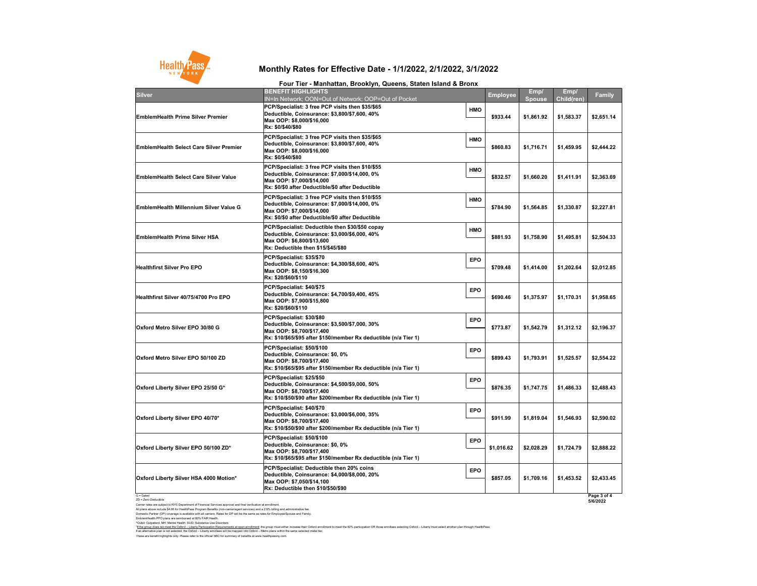G = Gated ZD = Zero Deductible

Carrier rates are subject to NYS Department of Financial Services approval and final verification at enrollment. All plans above include \$4.95 for HealthPass Program Benefits (non-carrier/agent services) and a 2.9% billing and administrative fee. Domestic Partner (DP) coverage is available with all carriers. Rates for DP will be the same as rates for Employee/Spouse and Family. EmblemHealth PPO plans are reimbursed at 80% FAIR Health.

## **Monthly Rates for Effective Date - 1/1/2022, 2/1/2022, 3/1/2022**

#### **Four Tier - Manhattan, Brooklyn, Queens, Staten Island & Bronx**



| <b>Silver</b>                                  | <b>BENEFIT HIGHLIGHTS</b><br><b>IN=In Network; OON=Ou</b>                                                                       |
|------------------------------------------------|---------------------------------------------------------------------------------------------------------------------------------|
| <b>EmblemHealth Prime Silver Premier</b>       | <b>PCP/Specialist: 3 free PC</b><br><b>Deductible, Coinsurance</b><br>Max OOP: \$8,000/\$16,000<br>Rx: \$0/\$40/\$80            |
| <b>EmblemHealth Select Care Silver Premier</b> | <b>PCP/Specialist: 3 free PC</b><br><b>Deductible, Coinsurance</b><br>Max OOP: \$8,000/\$16,000<br>Rx: \$0/\$40/\$80            |
| <b>EmblemHealth Select Care Silver Value</b>   | <b>PCP/Specialist: 3 free PC</b><br><b>Deductible, Coinsurance</b><br>Max OOP: \$7,000/\$14,000<br>Rx: \$0/\$0 after Deductible |
| <b>EmblemHealth Millennium Silver Value G</b>  | <b>PCP/Specialist: 3 free PC</b><br><b>Deductible, Coinsurance</b><br>Max OOP: \$7,000/\$14,000<br>Rx: \$0/\$0 after Deductible |
| <b>EmblemHealth Prime Silver HSA</b>           | <b>PCP/Specialist: Deductib</b><br><b>Deductible, Coinsurance</b><br>Max OOP: \$6,800/\$13,600<br>Rx: Deductible then \$15/     |
| <b>Healthfirst Silver Pro EPO</b>              | PCP/Specialist: \$35/\$70<br><b>Deductible, Coinsurance</b><br>Max OOP: \$8,150/\$16,300<br>Rx: \$20/\$60/\$110                 |
| <b>Healthfirst Silver 40/75/4700 Pro EPO</b>   | PCP/Specialist: \$40/\$75<br><b>Deductible, Coinsurance</b><br>Max OOP: \$7,900/\$15,800<br>Rx: \$20/\$60/\$110                 |
| Oxford Metro Silver EPO 30/80 G                | PCP/Specialist: \$30/\$80<br><b>Deductible, Coinsurance</b><br>Max OOP: \$8,700/\$17,400<br>Rx: \$10/\$65/\$95 after \$15       |
| Oxford Metro Silver EPO 50/100 ZD              | PCP/Specialist: \$50/\$100<br><b>Deductible, Coinsurance</b><br>Max OOP: \$8,700/\$17,400<br>Rx: \$10/\$65/\$95 after \$15      |
| Oxford Liberty Silver EPO 25/50 G*             | PCP/Specialist: \$25/\$50<br><b>Deductible, Coinsurance</b><br>Max OOP: \$8,700/\$17,400<br>Rx: \$10/\$50/\$90 after \$20       |
| Oxford Liberty Silver EPO 40/70*               | PCP/Specialist: \$40/\$70<br><b>Deductible, Coinsurance</b><br>Max OOP: \$8,700/\$17,400<br>Rx: \$10/\$50/\$90 after \$20       |
| Oxford Liberty Silver EPO 50/100 ZD*           | PCP/Specialist: \$50/\$100<br><b>Deductible, Coinsurance</b><br>Max OOP: \$8,700/\$17,400<br>Rx: \$10/\$65/\$95 after \$15      |
| Oxford Liberty Silver HSA 4000 Motion*         | <b>PCP/Specialist: Deductib</b><br><b>Deductible, Coinsurance</b><br>Max OOP: \$7.050/\$14.100                                  |

| r var from mannattan, Brovniyn, Qaoono, Olaton Ioland & Bronx                                                                                                                       |            |                 |                |                           |                         |
|-------------------------------------------------------------------------------------------------------------------------------------------------------------------------------------|------------|-----------------|----------------|---------------------------|-------------------------|
| <b>BENEFIT HIGHLIGHTS</b><br>IN=In Network; OON=Out of Network; OOP=Out of Pocket                                                                                                   |            | <b>Employee</b> | Emp/<br>Spouse | Emp/<br><b>Child(ren)</b> | <b>Family</b>           |
| PCP/Specialist: 3 free PCP visits then \$35/\$65<br>Deductible, Coinsurance: \$3,800/\$7,600, 40%<br>Max OOP: \$8,000/\$16,000<br>Rx: \$0/\$40/\$80                                 | <b>HMO</b> | \$933.44        | \$1,861.92     | \$1,583.37                | \$2,651.14              |
| PCP/Specialist: 3 free PCP visits then \$35/\$65<br>Deductible, Coinsurance: \$3,800/\$7,600, 40%<br>Max OOP: \$8,000/\$16,000<br>Rx: \$0/\$40/\$80                                 | <b>HMO</b> | \$860.83        | \$1,716.71     | \$1,459.95                | \$2,444.22              |
| PCP/Specialist: 3 free PCP visits then \$10/\$55<br>Deductible, Coinsurance: \$7,000/\$14,000, 0%<br>Max OOP: \$7,000/\$14,000<br>Rx: \$0/\$0 after Deductible/\$0 after Deductible | <b>HMO</b> | \$832.57        | \$1,660.20     | \$1,411.91                | \$2,363.69              |
| PCP/Specialist: 3 free PCP visits then \$10/\$55<br>Deductible, Coinsurance: \$7,000/\$14,000, 0%<br>Max OOP: \$7,000/\$14,000<br>Rx: \$0/\$0 after Deductible/\$0 after Deductible | <b>HMO</b> | \$784.90        | \$1,564.85     | \$1,330.87                | \$2,227.81              |
| PCP/Specialist: Deductible then \$30/\$50 copay<br>Deductible, Coinsurance: \$3,000/\$6,000, 40%<br>Max OOP: \$6,800/\$13,600<br><b>Rx: Deductible then \$15/\$45/\$80</b>          | <b>HMO</b> | \$881.93        | \$1,758.90     | \$1,495.81                | \$2,504.33              |
| PCP/Specialist: \$35/\$70<br>Deductible, Coinsurance: \$4,300/\$8,600, 40%<br>Max OOP: \$8,150/\$16,300<br>Rx: \$20/\$60/\$110                                                      | <b>EPO</b> | \$709.48        | \$1,414.00     | \$1,202.64                | \$2,012.85              |
| PCP/Specialist: \$40/\$75<br>Deductible, Coinsurance: \$4,700/\$9,400, 45%<br>Max OOP: \$7,900/\$15,800<br>Rx: \$20/\$60/\$110                                                      | <b>EPO</b> | \$690.46        | \$1,375.97     | \$1,170.31                | \$1,958.65              |
| PCP/Specialist: \$30/\$80<br>Deductible, Coinsurance: \$3,500/\$7,000, 30%<br>Max OOP: \$8,700/\$17,400                                                                             | <b>EPO</b> | \$773.87        | \$1,542.79     | \$1,312.12                | \$2,196.37              |
| PCP/Specialist: \$50/\$100<br>Deductible, Coinsurance: \$0, 0%<br>Max OOP: \$8,700/\$17,400<br>Rx: \$10/\$65/\$95 after \$150/member Rx deductible (n/a Tier 1)                     | <b>EPO</b> | \$899.43        | \$1,793.91     | \$1,525.57                | \$2,554.22              |
| PCP/Specialist: \$25/\$50<br>Deductible, Coinsurance: \$4,500/\$9,000, 50%<br>Max OOP: \$8,700/\$17,400<br>Rx: \$10/\$50/\$90 after \$200/member Rx deductible (n/a Tier 1)         | <b>EPO</b> | \$876.35        | \$1,747.75     | \$1,486.33                | \$2,488.43              |
| PCP/Specialist: \$40/\$70<br>Deductible, Coinsurance: \$3,000/\$6,000, 35%<br>Max OOP: \$8,700/\$17,400<br>Rx: \$10/\$50/\$90 after \$200/member Rx deductible (n/a Tier 1)         | <b>EPO</b> | \$911.99        | \$1,819.04     | \$1,546.93                | \$2,590.02              |
| PCP/Specialist: \$50/\$100<br>Deductible, Coinsurance: \$0, 0%<br>Max OOP: \$8,700/\$17,400                                                                                         | <b>EPO</b> | \$1,016.62      | \$2,028.29     | \$1,724.79                | \$2,888.22              |
| <b>PCP/Specialist: Deductible then 20% coins</b><br>Deductible, Coinsurance: \$4,000/\$8,000, 20%<br>Max OOP: \$7,050/\$14,100<br>Rx: Deductible then \$10/\$50/\$90                | <b>EPO</b> | \$857.05        | \$1,709.16     | \$1,453.52                | \$2,433.45              |
|                                                                                                                                                                                     |            |                 |                |                           | Page 3 of 4<br>5/6/2022 |

These are benefit highlights only. Please refer to the official SBC for summary of benefits at www.healthpassny.com. \*<u>If the group does not meet the Oxford – Liberty Participation Requirements at open enrollment</u>: the group must either increase their Oxford enrollment to meet the 60% participation OR those enrollees selecting Oxford – L If an alternative plan is not selected, the Oxford – Liberty enrollees will be mapped into Oxford – Metro plans within the same selected metal tier. ^Outpt: Outpatient, MH: Mental Health, SUD: Substance Use Disorders